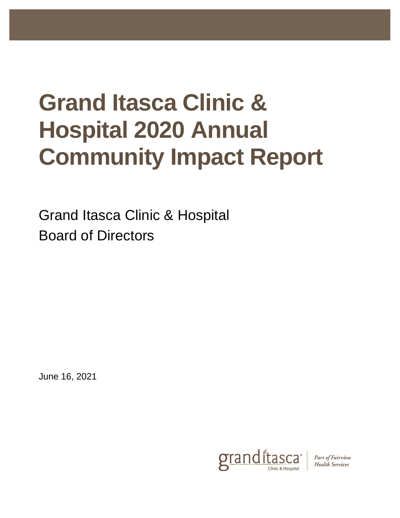# **Grand Itasca Clinic & Hospital 2020 Annual Community Impact Report**

Grand Itasca Clinic & Hospital Board of Directors

June 16, 2021



Part of Fairview **Health Services**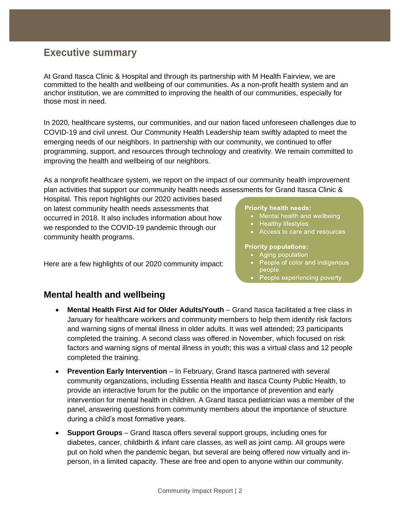# **Executive summary**

At Grand Itasca Clinic & Hospital and through its partnership with M Health Fairview, we are committed to the health and wellbeing of our communities. As a non-profit health system and an anchor institution, we are committed to improving the health of our communities, especially for those most in need.

In 2020, healthcare systems, our communities, and our nation faced unforeseen challenges due to COVID-19 and civil unrest. Our Community Health Leadership team swiftly adapted to meet the emerging needs of our neighbors. In partnership with our community, we continued to offer programming, support, and resources through technology and creativity. We remain committed to improving the health and wellbeing of our neighbors.

As a nonprofit healthcare system, we report on the impact of our community health improvement plan activities that support our community health needs assessments for Grand Itasca Clinic &

Hospital. This report highlights our 2020 activities based on latest community health needs assessments that occurred in 2018. It also includes information about how we responded to the COVID-19 pandemic through our community health programs.

Here are a few highlights of our 2020 community impact:

#### **Priority health needs:**

- Mental health and wellbeing
- Healthy lifestyles
- Access to care and resources

#### **Priority populations:**

- Aging population
- People of color and indigenous people
- People experiencing poverty

#### **Mental health and wellbeing**

- **Mental Health First Aid for Older Adults/Youth** Grand Itasca facilitated a free class in January for healthcare workers and community members to help them identify risk factors and warning signs of mental illness in older adults. It was well attended; 23 participants completed the training. A second class was offered in November, which focused on risk factors and warning signs of mental illness in youth; this was a virtual class and 12 people completed the training.
- **Prevention Early Intervention** In February, Grand Itasca partnered with several community organizations, including Essentia Health and Itasca County Public Health, to provide an interactive forum for the public on the importance of prevention and early intervention for mental health in children. A Grand Itasca pediatrician was a member of the panel, answering questions from community members about the importance of structure during a child's most formative years.
- **Support Groups** Grand Itasca offers several support groups, including ones for diabetes, cancer, childbirth & infant care classes, as well as joint camp. All groups were put on hold when the pandemic began, but several are being offered now virtually and inperson, in a limited capacity. These are free and open to anyone within our community.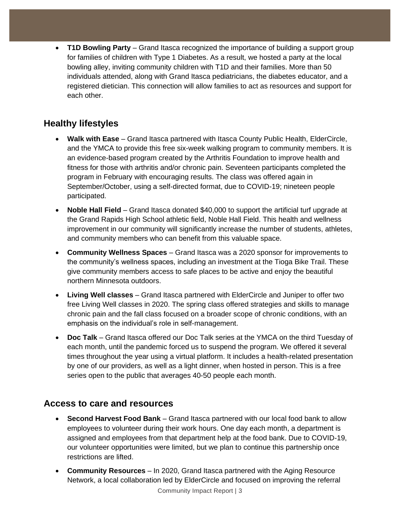• **T1D Bowling Party** – Grand Itasca recognized the importance of building a support group for families of children with Type 1 Diabetes. As a result, we hosted a party at the local bowling alley, inviting community children with T1D and their families. More than 50 individuals attended, along with Grand Itasca pediatricians, the diabetes educator, and a registered dietician. This connection will allow families to act as resources and support for each other.

## **Healthy lifestyles**

- **Walk with Ease** Grand Itasca partnered with Itasca County Public Health, ElderCircle, and the YMCA to provide this free six-week walking program to community members. It is an evidence-based program created by the Arthritis Foundation to improve health and fitness for those with arthritis and/or chronic pain. Seventeen participants completed the program in February with encouraging results. The class was offered again in September/October, using a self-directed format, due to COVID-19; nineteen people participated.
- **Noble Hall Field** Grand Itasca donated \$40,000 to support the artificial turf upgrade at the Grand Rapids High School athletic field, Noble Hall Field. This health and wellness improvement in our community will significantly increase the number of students, athletes, and community members who can benefit from this valuable space.
- **Community Wellness Spaces** Grand Itasca was a 2020 sponsor for improvements to the community's wellness spaces, including an investment at the Tioga Bike Trail. These give community members access to safe places to be active and enjoy the beautiful northern Minnesota outdoors.
- **Living Well classes** Grand Itasca partnered with ElderCircle and Juniper to offer two free Living Well classes in 2020. The spring class offered strategies and skills to manage chronic pain and the fall class focused on a broader scope of chronic conditions, with an emphasis on the individual's role in self-management.
- **Doc Talk** Grand Itasca offered our Doc Talk series at the YMCA on the third Tuesday of each month, until the pandemic forced us to suspend the program. We offered it several times throughout the year using a virtual platform. It includes a health-related presentation by one of our providers, as well as a light dinner, when hosted in person. This is a free series open to the public that averages 40-50 people each month.

#### **Access to care and resources**

- **Second Harvest Food Bank** Grand Itasca partnered with our local food bank to allow employees to volunteer during their work hours. One day each month, a department is assigned and employees from that department help at the food bank. Due to COVID-19, our volunteer opportunities were limited, but we plan to continue this partnership once restrictions are lifted.
- **Community Resources** In 2020, Grand Itasca partnered with the Aging Resource Network, a local collaboration led by ElderCircle and focused on improving the referral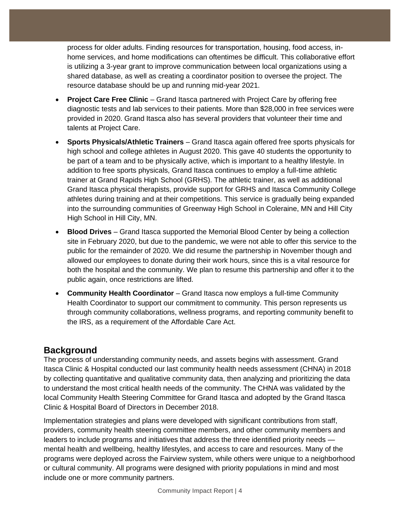process for older adults. Finding resources for transportation, housing, food access, inhome services, and home modifications can oftentimes be difficult. This collaborative effort is utilizing a 3-year grant to improve communication between local organizations using a shared database, as well as creating a coordinator position to oversee the project. The resource database should be up and running mid-year 2021.

- **Project Care Free Clinic** Grand Itasca partnered with Project Care by offering free diagnostic tests and lab services to their patients. More than \$28,000 in free services were provided in 2020. Grand Itasca also has several providers that volunteer their time and talents at Project Care.
- **Sports Physicals/Athletic Trainers** Grand Itasca again offered free sports physicals for high school and college athletes in August 2020. This gave 40 students the opportunity to be part of a team and to be physically active, which is important to a healthy lifestyle. In addition to free sports physicals, Grand Itasca continues to employ a full-time athletic trainer at Grand Rapids High School (GRHS). The athletic trainer, as well as additional Grand Itasca physical therapists, provide support for GRHS and Itasca Community College athletes during training and at their competitions. This service is gradually being expanded into the surrounding communities of Greenway High School in Coleraine, MN and Hill City High School in Hill City, MN.
- **Blood Drives** Grand Itasca supported the Memorial Blood Center by being a collection site in February 2020, but due to the pandemic, we were not able to offer this service to the public for the remainder of 2020. We did resume the partnership in November though and allowed our employees to donate during their work hours, since this is a vital resource for both the hospital and the community. We plan to resume this partnership and offer it to the public again, once restrictions are lifted.
- **Community Health Coordinator** Grand Itasca now employs a full-time Community Health Coordinator to support our commitment to community. This person represents us through community collaborations, wellness programs, and reporting community benefit to the IRS, as a requirement of the Affordable Care Act.

## **Background**

The process of understanding community needs, and assets begins with assessment. Grand Itasca Clinic & Hospital conducted our last community health needs assessment (CHNA) in 2018 by collecting quantitative and qualitative community data, then analyzing and prioritizing the data to understand the most critical health needs of the community. The CHNA was validated by the local Community Health Steering Committee for Grand Itasca and adopted by the Grand Itasca Clinic & Hospital Board of Directors in December 2018.

Implementation strategies and plans were developed with significant contributions from staff, providers, community health steering committee members, and other community members and leaders to include programs and initiatives that address the three identified priority needs mental health and wellbeing, healthy lifestyles, and access to care and resources. Many of the programs were deployed across the Fairview system, while others were unique to a neighborhood or cultural community. All programs were designed with priority populations in mind and most include one or more community partners.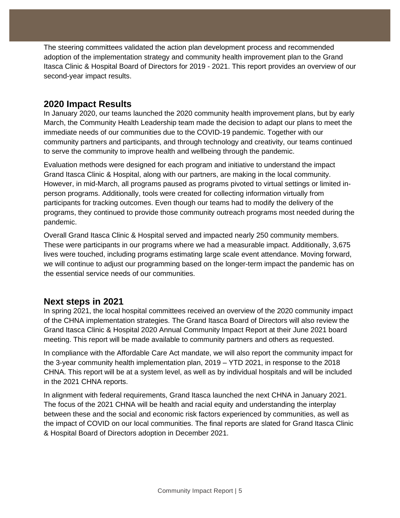The steering committees validated the action plan development process and recommended adoption of the implementation strategy and community health improvement plan to the Grand Itasca Clinic & Hospital Board of Directors for 2019 - 2021. This report provides an overview of our second-year impact results.

#### **2020 Impact Results**

In January 2020, our teams launched the 2020 community health improvement plans, but by early March, the Community Health Leadership team made the decision to adapt our plans to meet the immediate needs of our communities due to the COVID-19 pandemic. Together with our community partners and participants, and through technology and creativity, our teams continued to serve the community to improve health and wellbeing through the pandemic.

Evaluation methods were designed for each program and initiative to understand the impact Grand Itasca Clinic & Hospital, along with our partners, are making in the local community. However, in mid-March, all programs paused as programs pivoted to virtual settings or limited inperson programs. Additionally, tools were created for collecting information virtually from participants for tracking outcomes. Even though our teams had to modify the delivery of the programs, they continued to provide those community outreach programs most needed during the pandemic.

Overall Grand Itasca Clinic & Hospital served and impacted nearly 250 community members. These were participants in our programs where we had a measurable impact. Additionally, 3,675 lives were touched, including programs estimating large scale event attendance. Moving forward, we will continue to adjust our programming based on the longer-term impact the pandemic has on the essential service needs of our communities.

#### **Next steps in 2021**

In spring 2021, the local hospital committees received an overview of the 2020 community impact of the CHNA implementation strategies. The Grand Itasca Board of Directors will also review the Grand Itasca Clinic & Hospital 2020 Annual Community Impact Report at their June 2021 board meeting. This report will be made available to community partners and others as requested.

In compliance with the Affordable Care Act mandate, we will also report the community impact for the 3-year community health implementation plan, 2019 – YTD 2021, in response to the 2018 CHNA. This report will be at a system level, as well as by individual hospitals and will be included in the 2021 CHNA reports.

In alignment with federal requirements, Grand Itasca launched the next CHNA in January 2021. The focus of the 2021 CHNA will be health and racial equity and understanding the interplay between these and the social and economic risk factors experienced by communities, as well as the impact of COVID on our local communities. The final reports are slated for Grand Itasca Clinic & Hospital Board of Directors adoption in December 2021.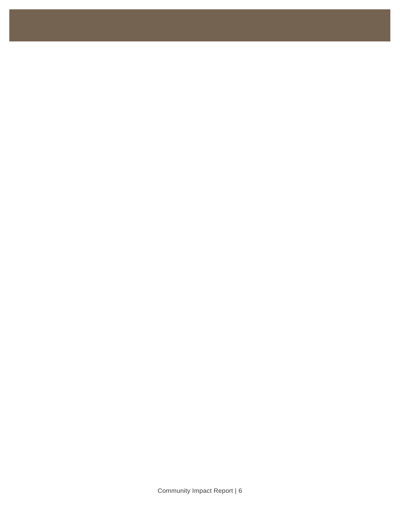Community Impact Report | 6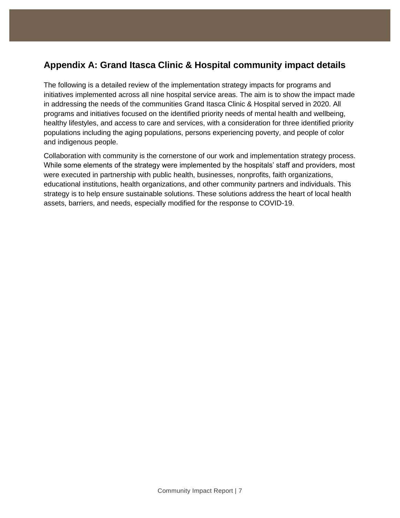## **Appendix A: Grand Itasca Clinic & Hospital community impact details**

The following is a detailed review of the implementation strategy impacts for programs and initiatives implemented across all nine hospital service areas. The aim is to show the impact made in addressing the needs of the communities Grand Itasca Clinic & Hospital served in 2020. All programs and initiatives focused on the identified priority needs of mental health and wellbeing, healthy lifestyles, and access to care and services, with a consideration for three identified priority populations including the aging populations, persons experiencing poverty, and people of color and indigenous people.

Collaboration with community is the cornerstone of our work and implementation strategy process. While some elements of the strategy were implemented by the hospitals' staff and providers, most were executed in partnership with public health, businesses, nonprofits, faith organizations, educational institutions, health organizations, and other community partners and individuals. This strategy is to help ensure sustainable solutions. These solutions address the heart of local health assets, barriers, and needs, especially modified for the response to COVID-19.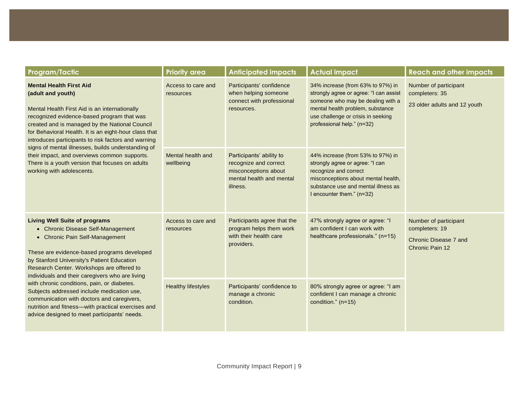| Program/Tactic                                                                                                                                                                                                                                                                                                                                                                                                                                                                                                                                                                                | <b>Priority area</b>            | <b>Anticipated impacts</b>                                                                                        | <b>Actual impact</b>                                                                                                                                                                                                     | <b>Reach and other impacts</b>                                                      |
|-----------------------------------------------------------------------------------------------------------------------------------------------------------------------------------------------------------------------------------------------------------------------------------------------------------------------------------------------------------------------------------------------------------------------------------------------------------------------------------------------------------------------------------------------------------------------------------------------|---------------------------------|-------------------------------------------------------------------------------------------------------------------|--------------------------------------------------------------------------------------------------------------------------------------------------------------------------------------------------------------------------|-------------------------------------------------------------------------------------|
| <b>Mental Health First Aid</b><br>(adult and youth)<br>Mental Health First Aid is an internationally<br>recognized evidence-based program that was<br>created and is managed by the National Council<br>for Behavioral Health. It is an eight-hour class that<br>introduces participants to risk factors and warning<br>signs of mental illnesses, builds understanding of<br>their impact, and overviews common supports.<br>There is a youth version that focuses on adults<br>working with adolescents.                                                                                    | Access to care and<br>resources | Participants' confidence<br>when helping someone<br>connect with professional<br>resources.                       | 34% increase (from 63% to 97%) in<br>strongly agree or agree: "I can assist<br>someone who may be dealing with a<br>mental health problem, substance<br>use challenge or crisis in seeking<br>professional help." (n=32) | Number of participant<br>completers: 35<br>23 older adults and 12 youth             |
|                                                                                                                                                                                                                                                                                                                                                                                                                                                                                                                                                                                               | Mental health and<br>wellbeing  | Participants' ability to<br>recognize and correct<br>misconceptions about<br>mental health and mental<br>illness. | 44% increase (from 53% to 97%) in<br>strongly agree or agree: "I can<br>recognize and correct<br>misconceptions about mental health,<br>substance use and mental illness as<br>I encounter them." (n=32)                 |                                                                                     |
| <b>Living Well Suite of programs</b><br><b>Chronic Disease Self-Management</b><br>$\bullet$<br><b>Chronic Pain Self-Management</b><br>$\bullet$<br>These are evidence-based programs developed<br>by Stanford University's Patient Education<br>Research Center. Workshops are offered to<br>individuals and their caregivers who are living<br>with chronic conditions, pain, or diabetes.<br>Subjects addressed include medication use,<br>communication with doctors and caregivers,<br>nutrition and fitness-with practical exercises and<br>advice designed to meet participants' needs. | Access to care and<br>resources | Participants agree that the<br>program helps them work<br>with their health care<br>providers.                    | 47% strongly agree or agree: "I<br>am confident I can work with<br>healthcare professionals." (n=15)                                                                                                                     | Number of participant<br>completers: 19<br>Chronic Disease 7 and<br>Chronic Pain 12 |
|                                                                                                                                                                                                                                                                                                                                                                                                                                                                                                                                                                                               | <b>Healthy lifestyles</b>       | Participants' confidence to<br>manage a chronic<br>condition.                                                     | 80% strongly agree or agree: "I am<br>confident I can manage a chronic<br>condition." (n=15)                                                                                                                             |                                                                                     |